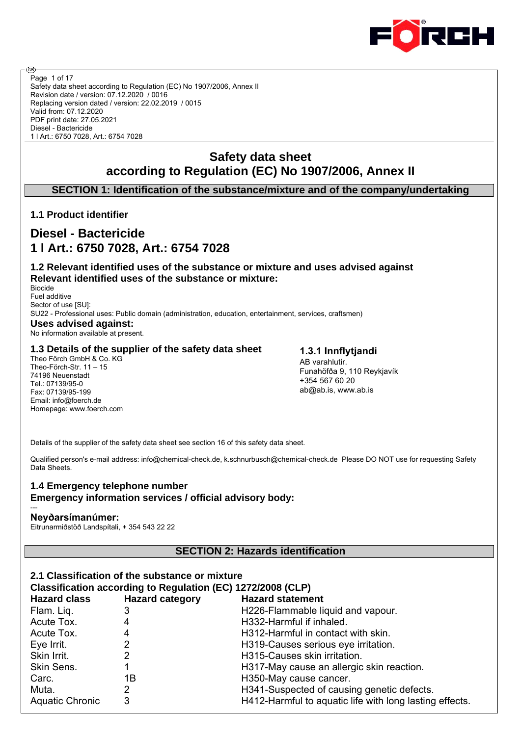

Safety data sheet according to Regulation (EC) No 1907/2006, Annex II Revision date / version: 07.12.2020 / 0016 Replacing version dated / version: 22.02.2019 / 0015 Valid from: 07.12.2020 PDF print date: 27.05.2021 Diesel - Bactericide 1 l Art.: 6750 7028, Art.: 6754 7028 Page 1 of 17

# **Safety data sheet according to Regulation (EC) No 1907/2006, Annex II**

**SECTION 1: Identification of the substance/mixture and of the company/undertaking**

# **1.1 Product identifier**

@

# **Diesel - Bactericide 1 l Art.: 6750 7028, Art.: 6754 7028**

## **1.2 Relevant identified uses of the substance or mixture and uses advised against Relevant identified uses of the substance or mixture:**

Biocide Fuel additive Sector of use [SU]: SU22 - Professional uses: Public domain (administration, education, entertainment, services, craftsmen) **Uses advised against:** No information available at present.

## **1.3 Details of the supplier of the safety data sheet**

Theo Förch GmbH & Co. KG Theo-Förch-Str. 11 – 15 74196 Neuenstadt Tel.: 07139/95-0 Fax: 07139/95-199 Email: info@foerch.de Homepage: www.foerch.com

**1.3.1 Innflytjandi** AB varahlutir. Funahöfða 9, 110 Reykjavík +354 567 60 20 ab@ab.is, www.ab.is

Details of the supplier of the safety data sheet see section 16 of this safety data sheet.

Qualified person's e-mail address: info@chemical-check.de, k.schnurbusch@chemical-check.de Please DO NOT use for requesting Safety Data Sheets.

## **1.4 Emergency telephone number Emergency information services / official advisory body:**

#### --- **Neyðarsímanúmer:**

Eitrunarmiðstöð Landspítali, + 354 543 22 22

# **SECTION 2: Hazards identification**

| 2.1 Classification of the substance or mixture              |                        |                                                         |  |  |  |  |  |  |
|-------------------------------------------------------------|------------------------|---------------------------------------------------------|--|--|--|--|--|--|
| Classification according to Regulation (EC) 1272/2008 (CLP) |                        |                                                         |  |  |  |  |  |  |
| <b>Hazard class</b>                                         | <b>Hazard category</b> | <b>Hazard statement</b>                                 |  |  |  |  |  |  |
| Flam. Liq.                                                  | 3                      | H226-Flammable liquid and vapour.                       |  |  |  |  |  |  |
| Acute Tox.                                                  | 4                      | H332-Harmful if inhaled.                                |  |  |  |  |  |  |
| Acute Tox.                                                  | 4                      | H312-Harmful in contact with skin.                      |  |  |  |  |  |  |
| Eye Irrit.                                                  | 2                      | H319-Causes serious eye irritation.                     |  |  |  |  |  |  |
| Skin Irrit.                                                 | 2                      | H315-Causes skin irritation.                            |  |  |  |  |  |  |
| Skin Sens.                                                  |                        | H317-May cause an allergic skin reaction.               |  |  |  |  |  |  |
| Carc.                                                       | 1Β                     | H350-May cause cancer.                                  |  |  |  |  |  |  |
| Muta.                                                       | 2                      | H341-Suspected of causing genetic defects.              |  |  |  |  |  |  |
| <b>Aquatic Chronic</b>                                      | 3                      | H412-Harmful to aquatic life with long lasting effects. |  |  |  |  |  |  |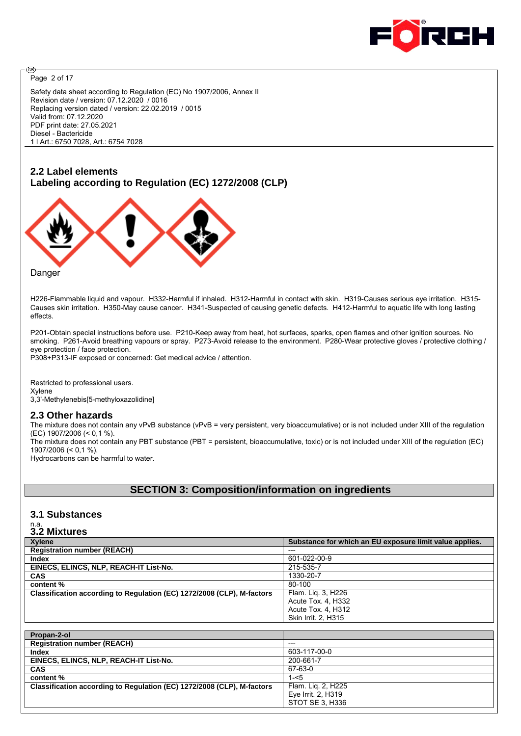

Page 2 of 17

അ

Safety data sheet according to Regulation (EC) No 1907/2006, Annex II Revision date / version: 07.12.2020 / 0016 Replacing version dated / version: 22.02.2019 / 0015 Valid from: 07.12.2020 PDF print date: 27.05.2021 Diesel - Bactericide 1 l Art.: 6750 7028, Art.: 6754 7028

# **2.2 Label elements Labeling according to Regulation (EC) 1272/2008 (CLP)**



**Danger** 

H226-Flammable liquid and vapour. H332-Harmful if inhaled. H312-Harmful in contact with skin. H319-Causes serious eye irritation. H315- Causes skin irritation. H350-May cause cancer. H341-Suspected of causing genetic defects. H412-Harmful to aquatic life with long lasting effects.

P201-Obtain special instructions before use. P210-Keep away from heat, hot surfaces, sparks, open flames and other ignition sources. No smoking. P261-Avoid breathing vapours or spray. P273-Avoid release to the environment. P280-Wear protective gloves / protective clothing / eye protection / face protection.

P308+P313-IF exposed or concerned: Get medical advice / attention.

Restricted to professional users. Xylene 3,3'-Methylenebis[5-methyloxazolidine]

#### **2.3 Other hazards**

The mixture does not contain any vPvB substance (vPvB = very persistent, very bioaccumulative) or is not included under XIII of the regulation (EC) 1907/2006 (< 0,1 %). The mixture does not contain any PBT substance (PBT = persistent, bioaccumulative, toxic) or is not included under XIII of the regulation (EC) 1907/2006 (< 0,1 %).

Hydrocarbons can be harmful to water.

## **SECTION 3: Composition/information on ingredients**

## **3.1 Substances**

# n.a. **3.2 Mixtures**

| <b>Xylene</b>                                                          | Substance for which an EU exposure limit value applies. |
|------------------------------------------------------------------------|---------------------------------------------------------|
| <b>Registration number (REACH)</b>                                     | $---$                                                   |
| Index                                                                  | 601-022-00-9                                            |
| EINECS, ELINCS, NLP, REACH-IT List-No.                                 | 215-535-7                                               |
| <b>CAS</b>                                                             | 1330-20-7                                               |
| content %                                                              | 80-100                                                  |
| Classification according to Regulation (EC) 1272/2008 (CLP), M-factors | Flam. Lig. 3, H226                                      |
|                                                                        | Acute Tox. 4, H332                                      |
|                                                                        | Acute Tox. 4. H312                                      |
|                                                                        | Skin Irrit. 2, H315                                     |

| Propan-2-ol                                                            |                    |
|------------------------------------------------------------------------|--------------------|
| <b>Registration number (REACH)</b>                                     | $- - -$            |
| Index                                                                  | 603-117-00-0       |
| EINECS, ELINCS, NLP, REACH-IT List-No.                                 | 200-661-7          |
| <b>CAS</b>                                                             | 67-63-0            |
| content %                                                              | $1 - 5$            |
| Classification according to Regulation (EC) 1272/2008 (CLP), M-factors | Flam. Lig. 2, H225 |
|                                                                        | Eye Irrit. 2, H319 |
|                                                                        | STOT SE 3, H336    |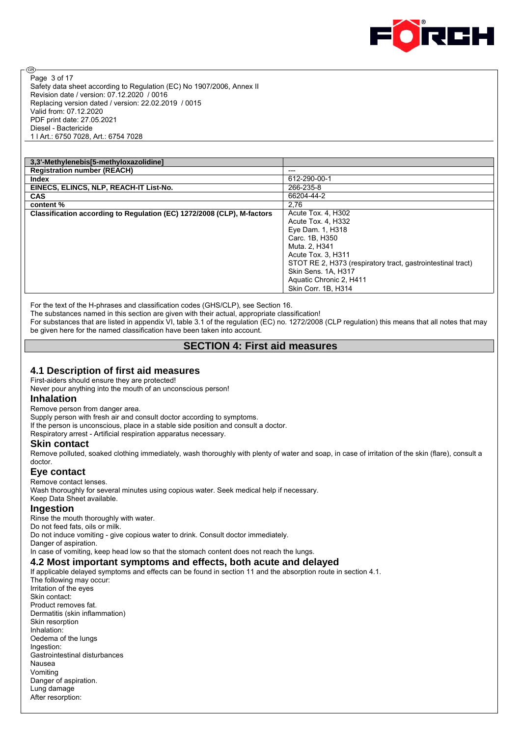

Safety data sheet according to Regulation (EC) No 1907/2006, Annex II Revision date / version: 07.12.2020 / 0016 Replacing version dated / version: 22.02.2019 / 0015 Valid from: 07.12.2020 PDF print date: 27.05.2021 Diesel - Bactericide 1 l Art.: 6750 7028, Art.: 6754 7028 Page 3 of 17

| ---                                                         |
|-------------------------------------------------------------|
| 612-290-00-1                                                |
| 266-235-8                                                   |
| 66204-44-2                                                  |
| 2,76                                                        |
| Acute Tox. 4, H302                                          |
| Acute Tox. 4, H332                                          |
| Eye Dam. 1, H318                                            |
| Carc. 1B. H350                                              |
| Muta, 2, H341                                               |
| Acute Tox. 3, H311                                          |
| STOT RE 2, H373 (respiratory tract, gastrointestinal tract) |
| Skin Sens. 1A, H317                                         |
| Aquatic Chronic 2, H411                                     |
| Skin Corr. 1B. H314                                         |
|                                                             |

For the text of the H-phrases and classification codes (GHS/CLP), see Section 16.

The substances named in this section are given with their actual, appropriate classification!

For substances that are listed in appendix VI, table 3.1 of the regulation (EC) no. 1272/2008 (CLP regulation) this means that all notes that may be given here for the named classification have been taken into account.

## **SECTION 4: First aid measures**

## **4.1 Description of first aid measures**

First-aiders should ensure they are protected!

Never pour anything into the mouth of an unconscious person!

#### **Inhalation**

ම

Remove person from danger area.

Supply person with fresh air and consult doctor according to symptoms.

If the person is unconscious, place in a stable side position and consult a doctor.

Respiratory arrest - Artificial respiration apparatus necessary.

#### **Skin contact**

Remove polluted, soaked clothing immediately, wash thoroughly with plenty of water and soap, in case of irritation of the skin (flare), consult a doctor.

#### **Eye contact**

Remove contact lenses. Wash thoroughly for several minutes using copious water. Seek medical help if necessary. Keep Data Sheet available.

#### **Ingestion**

Rinse the mouth thoroughly with water. Do not feed fats, oils or milk. Do not induce vomiting - give copious water to drink. Consult doctor immediately. Danger of aspiration. In case of vomiting, keep head low so that the stomach content does not reach the lungs.

**4.2 Most important symptoms and effects, both acute and delayed**

#### If applicable delayed symptoms and effects can be found in section 11 and the absorption route in section 4.1.

The following may occur: Irritation of the eyes Skin contact: Product removes fat. Dermatitis (skin inflammation) Skin resorption Inhalation: Oedema of the lungs Ingestion: Gastrointestinal disturbances Nausea Vomiting Danger of aspiration. Lung damage After resorption: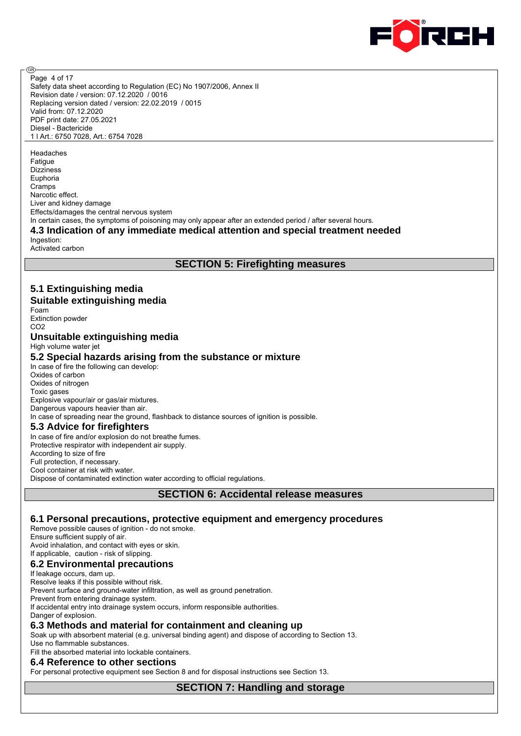

Safety data sheet according to Regulation (EC) No 1907/2006, Annex II Revision date / version: 07.12.2020 / 0016 Replacing version dated / version: 22.02.2019 / 0015 Valid from: 07.12.2020 PDF print date: 27.05.2021 Diesel - Bactericide 1 l Art.: 6750 7028, Art.: 6754 7028 Page 4 of 17

Headaches Fatigue Dizziness Euphoria Cramps Narcotic effect. Liver and kidney damage Effects/damages the central nervous system In certain cases, the symptoms of poisoning may only appear after an extended period / after several hours.

#### **4.3 Indication of any immediate medical attention and special treatment needed** Ingestion:

Activated carbon

@

# **SECTION 5: Firefighting measures**

#### **5.1 Extinguishing media Suitable extinguishing media** Foam Extinction powder C<sub>O2</sub> **Unsuitable extinguishing media** High volume water jet **5.2 Special hazards arising from the substance or mixture** In case of fire the following can develop: Oxides of carbon Oxides of nitrogen Toxic gases Explosive vapour/air or gas/air mixtures. Dangerous vapours heavier than air. In case of spreading near the ground, flashback to distance sources of ignition is possible. **5.3 Advice for firefighters** In case of fire and/or explosion do not breathe fumes. Protective respirator with independent air supply. According to size of fire Full protection, if necessary. Cool container at risk with water. Dispose of contaminated extinction water according to official regulations. **SECTION 6: Accidental release measures**

#### **6.1 Personal precautions, protective equipment and emergency procedures**

Remove possible causes of ignition - do not smoke. Ensure sufficient supply of air. Avoid inhalation, and contact with eyes or skin.

# If applicable, caution - risk of slipping.

**6.2 Environmental precautions**

If leakage occurs, dam up. Resolve leaks if this possible without risk.

Prevent surface and ground-water infiltration, as well as ground penetration.

Prevent from entering drainage system.

If accidental entry into drainage system occurs, inform responsible authorities.

Danger of explosion.

# **6.3 Methods and material for containment and cleaning up**

Soak up with absorbent material (e.g. universal binding agent) and dispose of according to Section 13. Use no flammable substances.

Fill the absorbed material into lockable containers.

## **6.4 Reference to other sections**

For personal protective equipment see Section 8 and for disposal instructions see Section 13.

**SECTION 7: Handling and storage**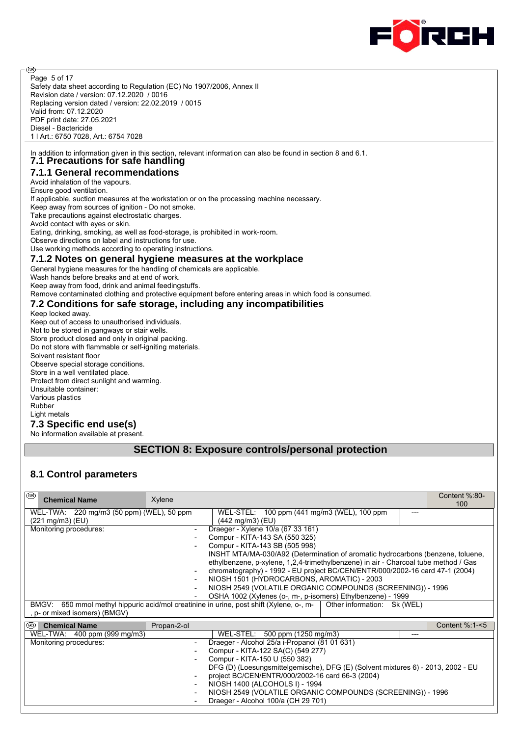

ම Page 5 of 17 Safety data sheet according to Regulation (EC) No 1907/2006, Annex II Revision date / version: 07.12.2020 / 0016 Replacing version dated / version: 22.02.2019 / 0015 Valid from: 07.12.2020 PDF print date: 27.05.2021 Diesel - Bactericide 1 l Art.: 6750 7028, Art.: 6754 7028

In addition to information given in this section, relevant information can also be found in section 8 and 6.1. **7.1 Precautions for safe handling**

**7.1.1 General recommendations** Avoid inhalation of the vapours. Ensure good ventilation. If applicable, suction measures at the workstation or on the processing machine necessary. Keep away from sources of ignition - Do not smoke. Take precautions against electrostatic charges. Avoid contact with eyes or skin. Eating, drinking, smoking, as well as food-storage, is prohibited in work-room. Observe directions on label and instructions for use. Use working methods according to operating instructions.

#### **7.1.2 Notes on general hygiene measures at the workplace**

General hygiene measures for the handling of chemicals are applicable.

Wash hands before breaks and at end of work.

Keep away from food, drink and animal feedingstuffs.

Remove contaminated clothing and protective equipment before entering areas in which food is consumed.

#### **7.2 Conditions for safe storage, including any incompatibilities**

Keep locked away. Keep out of access to unauthorised individuals. Not to be stored in gangways or stair wells. Store product closed and only in original packing. Do not store with flammable or self-igniting materials. Solvent resistant floor Observe special storage conditions. Store in a well ventilated place. Protect from direct sunlight and warming. Unsuitable container: Various plastics Rubber Light metals **7.3 Specific end use(s)** No information available at present.

# **SECTION 8: Exposure controls/personal protection**

# **8.1 Control parameters**

| ⊛<br><b>Chemical Name</b>                                     | Xylene                   |                                                                                                                                                                                                                                                                                                                                                                                                                                                                                                                                                                                                                                                                      | Content %:80-<br>100 |
|---------------------------------------------------------------|--------------------------|----------------------------------------------------------------------------------------------------------------------------------------------------------------------------------------------------------------------------------------------------------------------------------------------------------------------------------------------------------------------------------------------------------------------------------------------------------------------------------------------------------------------------------------------------------------------------------------------------------------------------------------------------------------------|----------------------|
| WEL-TWA: 220 mg/m3 (50 ppm) (WEL), 50 ppm<br>(221 mg/m3) (EU) |                          | WEL-STEL: 100 ppm (441 mg/m3 (WEL), 100 ppm<br>$(442 \text{ mg/m3})$ (EU)                                                                                                                                                                                                                                                                                                                                                                                                                                                                                                                                                                                            | ---                  |
| Monitoring procedures:<br>, p- or mixed isomers) (BMGV)       | $\overline{\phantom{a}}$ | Draeger - Xylene 10/a (67 33 161)<br>Compur - KITA-143 SA (550 325)<br>Compur - KITA-143 SB (505 998)<br>INSHT MTA/MA-030/A92 (Determination of aromatic hydrocarbons (benzene, toluene,<br>ethylbenzene, p-xylene, 1,2,4-trimethylbenzene) in air - Charcoal tube method / Gas<br>chromatography) - 1992 - EU project BC/CEN/ENTR/000/2002-16 card 47-1 (2004)<br>NIOSH 1501 (HYDROCARBONS, AROMATIC) - 2003<br>NIOSH 2549 (VOLATILE ORGANIC COMPOUNDS (SCREENING)) - 1996<br>OSHA 1002 (Xylenes (o-, m-, p-isomers) Ethylbenzene) - 1999<br>BMGV: 650 mmol methyl hippuric acid/mol creatinine in urine, post shift (Xylene, o-, m-<br>Other information: Sk (WEL) |                      |
| 1®<br><b>Chemical Name</b>                                    | Propan-2-ol              |                                                                                                                                                                                                                                                                                                                                                                                                                                                                                                                                                                                                                                                                      | Content %:1-<5       |
| WEL-TWA: 400 ppm (999 mg/m3)                                  |                          | WEL-STEL: 500 ppm (1250 mg/m3)                                                                                                                                                                                                                                                                                                                                                                                                                                                                                                                                                                                                                                       | ---                  |
| Monitoring procedures:                                        |                          | Draeger - Alcohol 25/a i-Propanol (81 01 631)                                                                                                                                                                                                                                                                                                                                                                                                                                                                                                                                                                                                                        |                      |
|                                                               |                          | Compur - KITA-122 SA(C) (549 277)                                                                                                                                                                                                                                                                                                                                                                                                                                                                                                                                                                                                                                    |                      |
|                                                               |                          | Compur - KITA-150 U (550 382)                                                                                                                                                                                                                                                                                                                                                                                                                                                                                                                                                                                                                                        |                      |
|                                                               |                          | DFG (D) (Loesungsmittelgemische), DFG (E) (Solvent mixtures 6) - 2013, 2002 - EU<br>project BC/CEN/ENTR/000/2002-16 card 66-3 (2004)                                                                                                                                                                                                                                                                                                                                                                                                                                                                                                                                 |                      |
|                                                               |                          | NIOSH 1400 (ALCOHOLS I) - 1994                                                                                                                                                                                                                                                                                                                                                                                                                                                                                                                                                                                                                                       |                      |
|                                                               | $\overline{\phantom{a}}$ | NIOSH 2549 (VOLATILE ORGANIC COMPOUNDS (SCREENING)) - 1996                                                                                                                                                                                                                                                                                                                                                                                                                                                                                                                                                                                                           |                      |
|                                                               |                          | Draeger - Alcohol 100/a (CH 29 701)                                                                                                                                                                                                                                                                                                                                                                                                                                                                                                                                                                                                                                  |                      |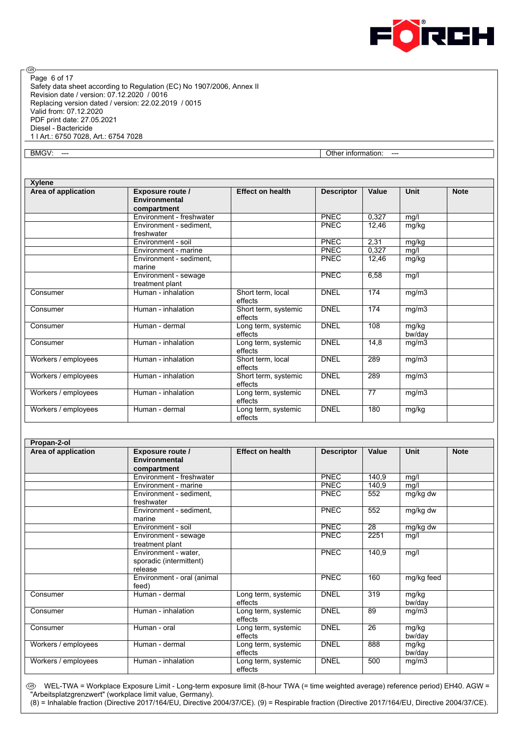

Safety data sheet according to Regulation (EC) No 1907/2006, Annex II Revision date / version: 07.12.2020 / 0016 Replacing version dated / version: 22.02.2019 / 0015 Valid from: 07.12.2020 PDF print date: 27.05.2021 Diesel - Bactericide 1 l Art.: 6750 7028, Art.: 6754 7028 Page 6 of 17

⊛

BMGV: --- **Other information: ---** Other information: ---

| <b>Xylene</b>       |                                                         |                                 |                   |       |                 |             |
|---------------------|---------------------------------------------------------|---------------------------------|-------------------|-------|-----------------|-------------|
| Area of application | <b>Exposure route /</b><br>Environmental<br>compartment | <b>Effect on health</b>         | <b>Descriptor</b> | Value | <b>Unit</b>     | <b>Note</b> |
|                     | Environment - freshwater                                |                                 | <b>PNEC</b>       | 0,327 | mg/l            |             |
|                     | Environment - sediment,<br>freshwater                   |                                 | <b>PNEC</b>       | 12,46 | mg/kg           |             |
|                     | Environment - soil                                      |                                 | <b>PNEC</b>       | 2,31  | mg/kg           |             |
|                     | Environment - marine                                    |                                 | <b>PNEC</b>       | 0,327 | mg/l            |             |
|                     | Environment - sediment.<br>marine                       |                                 | <b>PNEC</b>       | 12,46 | mg/kg           |             |
|                     | Environment - sewage<br>treatment plant                 |                                 | <b>PNEC</b>       | 6,58  | mg/l            |             |
| Consumer            | Human - inhalation                                      | Short term, local<br>effects    | <b>DNEL</b>       | 174   | mg/m3           |             |
| Consumer            | Human - inhalation                                      | Short term, systemic<br>effects | <b>DNEL</b>       | 174   | mg/m3           |             |
| Consumer            | Human - dermal                                          | Long term, systemic<br>effects  | <b>DNEL</b>       | 108   | mg/kg<br>bw/day |             |
| Consumer            | Human - inhalation                                      | Long term, systemic<br>effects  | <b>DNEL</b>       | 14,8  | mg/m3           |             |
| Workers / employees | Human - inhalation                                      | Short term, local<br>effects    | <b>DNEL</b>       | 289   | mg/m3           |             |
| Workers / employees | Human - inhalation                                      | Short term, systemic<br>effects | <b>DNEL</b>       | 289   | mg/m3           |             |
| Workers / employees | Human - inhalation                                      | Long term, systemic<br>effects  | <b>DNEL</b>       | 77    | mg/m3           |             |
| Workers / employees | Human - dermal                                          | Long term, systemic<br>effects  | <b>DNEL</b>       | 180   | mg/kg           |             |

| Propan-2-ol         |                                                                |                                |                   |       |                 |             |
|---------------------|----------------------------------------------------------------|--------------------------------|-------------------|-------|-----------------|-------------|
| Area of application | <b>Exposure route /</b><br><b>Environmental</b><br>compartment | <b>Effect on health</b>        | <b>Descriptor</b> | Value | <b>Unit</b>     | <b>Note</b> |
|                     | Environment - freshwater                                       |                                | <b>PNEC</b>       | 140,9 | mg/l            |             |
|                     | Environment - marine                                           |                                | <b>PNEC</b>       | 140,9 | mg/l            |             |
|                     | Environment - sediment,<br>freshwater                          |                                | <b>PNEC</b>       | 552   | mg/kg dw        |             |
|                     | Environment - sediment,<br>marine                              |                                | PNEC              | 552   | mg/kg dw        |             |
|                     | Environment - soil                                             |                                | <b>PNEC</b>       | 28    | mg/kg dw        |             |
|                     | Environment - sewage<br>treatment plant                        |                                | <b>PNEC</b>       | 2251  | mg/l            |             |
|                     | Environment - water,<br>sporadic (intermittent)<br>release     |                                | <b>PNEC</b>       | 140,9 | mg/l            |             |
|                     | Environment - oral (animal<br>feed)                            |                                | <b>PNEC</b>       | 160   | mg/kg feed      |             |
| Consumer            | Human - dermal                                                 | Long term, systemic<br>effects | <b>DNEL</b>       | 319   | mg/kg<br>bw/day |             |
| Consumer            | Human - inhalation                                             | Long term, systemic<br>effects | <b>DNEL</b>       | 89    | mg/m3           |             |
| Consumer            | Human - oral                                                   | Long term, systemic<br>effects | <b>DNEL</b>       | 26    | mg/kg<br>bw/day |             |
| Workers / employees | Human - dermal                                                 | Long term, systemic<br>effects | <b>DNEL</b>       | 888   | mg/kg<br>bw/day |             |
| Workers / employees | Human - inhalation                                             | Long term, systemic<br>effects | <b>DNEL</b>       | 500   | mg/m3           |             |

 WEL-TWA = Workplace Exposure Limit - Long-term exposure limit (8-hour TWA (= time weighted average) reference period) EH40. AGW = "Arbeitsplatzgrenzwert" (workplace limit value, Germany).

(8) = Inhalable fraction (Directive 2017/164/EU, Directive 2004/37/CE). (9) = Respirable fraction (Directive 2017/164/EU, Directive 2004/37/CE).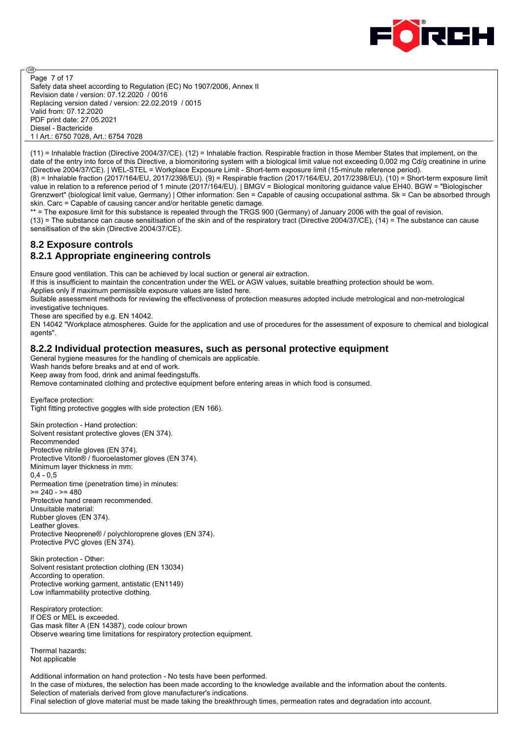

@ Page 7 of 17 Safety data sheet according to Regulation (EC) No 1907/2006, Annex II Revision date / version: 07.12.2020 / 0016 Replacing version dated / version: 22.02.2019 / 0015 Valid from: 07.12.2020 PDF print date: 27.05.2021 Diesel - Bactericide 1 l Art.: 6750 7028, Art.: 6754 7028

(11) = Inhalable fraction (Directive 2004/37/CE). (12) = Inhalable fraction. Respirable fraction in those Member States that implement, on the date of the entry into force of this Directive, a biomonitoring system with a biological limit value not exceeding 0,002 mg Cd/g creatinine in urine (Directive 2004/37/CE). | WEL-STEL = Workplace Exposure Limit - Short-term exposure limit (15-minute reference period).

(8) = Inhalable fraction (2017/164/EU, 2017/2398/EU). (9) = Respirable fraction (2017/164/EU, 2017/2398/EU). (10) = Short-term exposure limit value in relation to a reference period of 1 minute (2017/164/EU). | BMGV = Biological monitoring guidance value EH40. BGW = "Biologischer Grenzwert" (biological limit value, Germany) | Other information: Sen = Capable of causing occupational asthma. Sk = Can be absorbed through skin. Carc = Capable of causing cancer and/or heritable genetic damage.

\*\* = The exposure limit for this substance is repealed through the TRGS 900 (Germany) of January 2006 with the goal of revision. (13) = The substance can cause sensitisation of the skin and of the respiratory tract (Directive 2004/37/CE), (14) = The substance can cause sensitisation of the skin (Directive 2004/37/CE).

# **8.2 Exposure controls**

# **8.2.1 Appropriate engineering controls**

Ensure good ventilation. This can be achieved by local suction or general air extraction.

If this is insufficient to maintain the concentration under the WEL or AGW values, suitable breathing protection should be worn.

Applies only if maximum permissible exposure values are listed here.

Suitable assessment methods for reviewing the effectiveness of protection measures adopted include metrological and non-metrological investigative techniques.

These are specified by e.g. EN 14042.

EN 14042 "Workplace atmospheres. Guide for the application and use of procedures for the assessment of exposure to chemical and biological agents".

#### **8.2.2 Individual protection measures, such as personal protective equipment**

General hygiene measures for the handling of chemicals are applicable.

Wash hands before breaks and at end of work.

Keep away from food, drink and animal feedingstuffs.

Remove contaminated clothing and protective equipment before entering areas in which food is consumed.

Eye/face protection: Tight fitting protective goggles with side protection (EN 166).

Skin protection - Hand protection: Solvent resistant protective gloves (EN 374). Recommended Protective nitrile gloves (EN 374). Protective Viton® / fluoroelastomer gloves (EN 374). Minimum layer thickness in mm:  $0.4 - 0.5$ Permeation time (penetration time) in minutes:  $>= 240 - = 480$ Protective hand cream recommended. Unsuitable material: Rubber gloves (EN 374). Leather gloves. Protective Neoprene® / polychloroprene gloves (EN 374). Protective PVC gloves (EN 374).

Skin protection - Other: Solvent resistant protection clothing (EN 13034) According to operation. Protective working garment, antistatic (EN1149) Low inflammability protective clothing.

Respiratory protection: If OES or MEL is exceeded. Gas mask filter A (EN 14387), code colour brown Observe wearing time limitations for respiratory protection equipment.

Thermal hazards: Not applicable

Additional information on hand protection - No tests have been performed. In the case of mixtures, the selection has been made according to the knowledge available and the information about the contents. Selection of materials derived from glove manufacturer's indications. Final selection of glove material must be made taking the breakthrough times, permeation rates and degradation into account.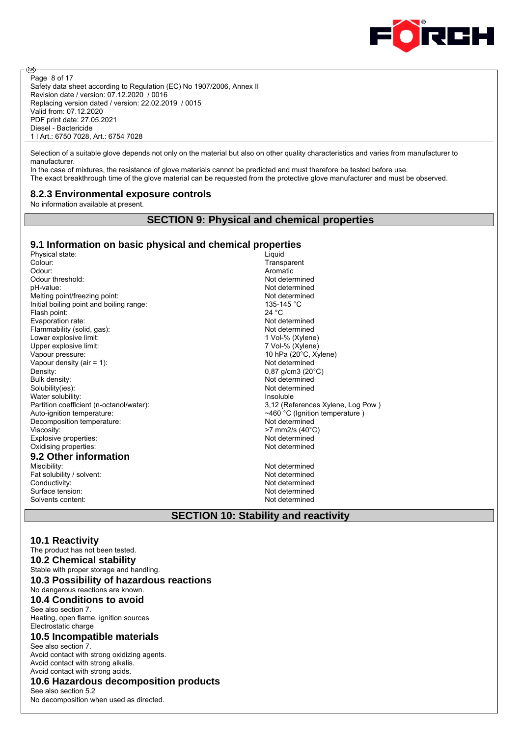

ම Page 8 of 17 Safety data sheet according to Regulation (EC) No 1907/2006, Annex II Revision date / version: 07.12.2020 / 0016 Replacing version dated / version: 22.02.2019 / 0015 Valid from: 07.12.2020 PDF print date: 27.05.2021 Diesel - Bactericide 1 l Art.: 6750 7028, Art.: 6754 7028

Selection of a suitable glove depends not only on the material but also on other quality characteristics and varies from manufacturer to manufacturer.

In the case of mixtures, the resistance of glove materials cannot be predicted and must therefore be tested before use. The exact breakthrough time of the glove material can be requested from the protective glove manufacturer and must be observed.

#### **8.2.3 Environmental exposure controls**

No information available at present.

#### **SECTION 9: Physical and chemical properties**

#### **9.1 Information on basic physical and chemical properties**

Physical state: Liquid Colour: Liquid Colour: Liquid Colour: Liquid Colour: Liquid Colour: Liquid Colour: Liquid Colour: Liquid Colour: Liquid Colour: Liquid Colour: Liquid Colour: Liquid Colour: Liquid Colour: Liquid Colo Odour: Aromatic Control of the Control of the Control of the Control of the Control of the Control of the Control of the Control of the Control of the Control of the Control of the Control of the Control of the Control of Odour threshold: Not determined pH-value: Not determined Melting point/freezing point:<br>
Initial boiling point and boiling range:<br>  $\frac{135-145}{C}$ Initial boiling point and boiling range:<br>
Flash point: 24 °C Flash point: 24 °C<br>
Evaporation rate: 24 °C<br>
24 °C<br>
Not determined Evaporation rate: Flammability (solid, gas): Not determined Lower explosive limit:<br>
Upper explosive limit:<br>
1 Vol-% (Xylene)<br>
7 Vol-% (Xylene) Upper explosive limit:<br>Vapour pressure: Vapour density (air  $= 1$ ): Density: 0.87 g/cm3 (20°C) Bulk density: Not determined<br>Solubility(ies): Not determined<br>Not determined Water solubility: **Insoluble** Partition coefficient (n-octanol/water): 3,12 (References Xylene, Log Pow ) Auto-ignition temperature:  $\sim$ 460 °C (Ignition temperature ) Decomposition temperature:<br>Viscosity: Not determined<br>Viscosity:  $>7$  mm2/s (40°C) Explosive properties:<br>
Oxidising properties:<br>
Oxidising properties:<br>
Not determined Oxidising properties: **9.2 Other information** Miscibility: Not determined

Fat solubility / solvent: Not determined<br>
Conductivity: Not determined<br>
Not determined Surface tension: Solvents content: Not determined

Transparent 10 hPa (20°C, Xylene)<br>Not determined Not determined  $>7$  mm2/s (40 $^{\circ}$ C)

Not determined<br>Not determined

#### **SECTION 10: Stability and reactivity**

#### **10.1 Reactivity**

The product has not been tested. **10.2 Chemical stability** Stable with proper storage and handling. **10.3 Possibility of hazardous reactions** No dangerous reactions are known. **10.4 Conditions to avoid**

#### See also section 7.

Heating, open flame, ignition sources Electrostatic charge

#### **10.5 Incompatible materials**

See also section 7. Avoid contact with strong oxidizing agents. Avoid contact with strong alkalis. Avoid contact with strong acids.

## **10.6 Hazardous decomposition products**

See also section 5.2 No decomposition when used as directed.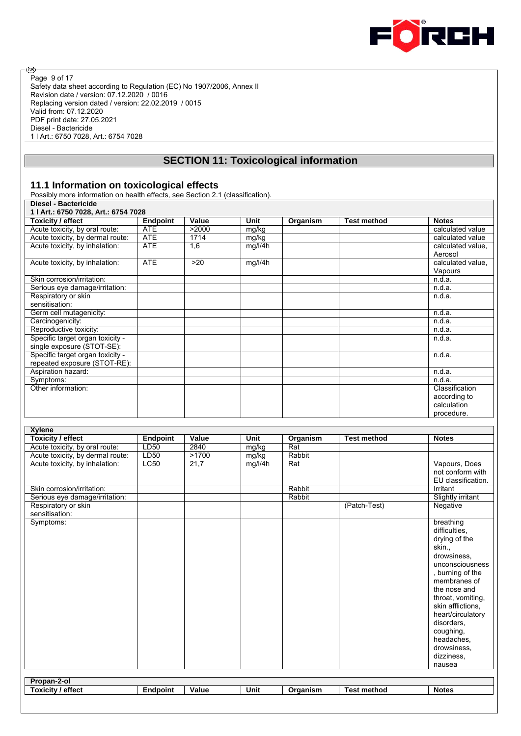

® Page 9 of 17Safety data sheet according to Regulation (EC) No 1907/2006, Annex II Revision date / version: 07.12.2020 / 0016 Replacing version dated / version: 22.02.2019 / 0015 Valid from: 07.12.2020 PDF print date: 27.05.2021 Diesel - Bactericide 1 l Art.: 6750 7028, Art.: 6754 7028

# **SECTION 11: Toxicological information**

#### **11.1 Information on toxicological effects**

Possibly more information on health effects, see Section 2.1 (classification). **Diesel - Bactericide** 

| 1   Art.: 6750 7028, Art.: 6754 7028 |                 |       |         |          |                    |                   |  |  |
|--------------------------------------|-----------------|-------|---------|----------|--------------------|-------------------|--|--|
| Toxicity / effect                    | <b>Endpoint</b> | Value | Unit    | Organism | <b>Test method</b> | <b>Notes</b>      |  |  |
| Acute toxicity, by oral route:       | <b>ATE</b>      | >2000 | mg/kg   |          |                    | calculated value  |  |  |
| Acute toxicity, by dermal route:     | <b>ATE</b>      | 1714  | mg/kg   |          |                    | calculated value  |  |  |
| Acute toxicity, by inhalation:       | <b>ATE</b>      | 1,6   | mg/l/4h |          |                    | calculated value. |  |  |
|                                      |                 |       |         |          |                    | Aerosol           |  |  |
| Acute toxicity, by inhalation:       | <b>ATE</b>      | >20   | mg/l/4h |          |                    | calculated value. |  |  |
|                                      |                 |       |         |          |                    | Vapours           |  |  |
| Skin corrosion/irritation:           |                 |       |         |          |                    | n.d.a.            |  |  |
| Serious eye damage/irritation:       |                 |       |         |          |                    | n.d.a.            |  |  |
| Respiratory or skin                  |                 |       |         |          |                    | n.d.a.            |  |  |
| sensitisation:                       |                 |       |         |          |                    |                   |  |  |
| Germ cell mutagenicity:              |                 |       |         |          |                    | n.d.a.            |  |  |
| Carcinogenicity:                     |                 |       |         |          |                    | n.d.a.            |  |  |
| Reproductive toxicity:               |                 |       |         |          |                    | n.d.a.            |  |  |
| Specific target organ toxicity -     |                 |       |         |          |                    | n.d.a.            |  |  |
| single exposure (STOT-SE):           |                 |       |         |          |                    |                   |  |  |
| Specific target organ toxicity -     |                 |       |         |          |                    | n.d.a.            |  |  |
| repeated exposure (STOT-RE):         |                 |       |         |          |                    |                   |  |  |
| Aspiration hazard:                   |                 |       |         |          |                    | n.d.a.            |  |  |
| Symptoms:                            |                 |       |         |          |                    | n.d.a.            |  |  |
| Other information:                   |                 |       |         |          |                    | Classification    |  |  |
|                                      |                 |       |         |          |                    | according to      |  |  |
|                                      |                 |       |         |          |                    | calculation       |  |  |
|                                      |                 |       |         |          |                    | procedure.        |  |  |

| <b>Xylene</b>                    |                 |       |         |          |                    |                          |
|----------------------------------|-----------------|-------|---------|----------|--------------------|--------------------------|
| <b>Toxicity / effect</b>         | <b>Endpoint</b> | Value | Unit    | Organism | <b>Test method</b> | <b>Notes</b>             |
| Acute toxicity, by oral route:   | LD50            | 2840  | mg/kg   | Rat      |                    |                          |
| Acute toxicity, by dermal route: | LD50            | >1700 | mg/kg   | Rabbit   |                    |                          |
| Acute toxicity, by inhalation:   | LC50            | 21,7  | mg/l/4h | Rat      |                    | Vapours, Does            |
|                                  |                 |       |         |          |                    | not conform with         |
|                                  |                 |       |         |          |                    | EU classification.       |
| Skin corrosion/irritation:       |                 |       |         | Rabbit   |                    | Irritant                 |
| Serious eye damage/irritation:   |                 |       |         | Rabbit   |                    | <b>Slightly irritant</b> |
| Respiratory or skin              |                 |       |         |          | (Patch-Test)       | Negative                 |
| sensitisation:                   |                 |       |         |          |                    |                          |
| Symptoms:                        |                 |       |         |          |                    | breathing                |
|                                  |                 |       |         |          |                    | difficulties.            |
|                                  |                 |       |         |          |                    | drying of the            |
|                                  |                 |       |         |          |                    | skin.,                   |
|                                  |                 |       |         |          |                    | drowsiness,              |
|                                  |                 |       |         |          |                    | unconsciousness          |
|                                  |                 |       |         |          |                    | , burning of the         |
|                                  |                 |       |         |          |                    | membranes of             |
|                                  |                 |       |         |          |                    | the nose and             |
|                                  |                 |       |         |          |                    | throat, vomiting,        |
|                                  |                 |       |         |          |                    | skin afflictions.        |
|                                  |                 |       |         |          |                    | heart/circulatory        |
|                                  |                 |       |         |          |                    | disorders.               |
|                                  |                 |       |         |          |                    | coughing,                |
|                                  |                 |       |         |          |                    | headaches.               |
|                                  |                 |       |         |          |                    |                          |
|                                  |                 |       |         |          |                    | drowsiness.              |
|                                  |                 |       |         |          |                    | dizziness.               |
|                                  |                 |       |         |          |                    | nausea                   |
| Propan-2-ol                      |                 |       |         |          |                    |                          |
| <b>Toxicity / effect</b>         | <b>Endpoint</b> | Value | Unit    | Organism | <b>Test method</b> | <b>Notes</b>             |
|                                  |                 |       |         |          |                    |                          |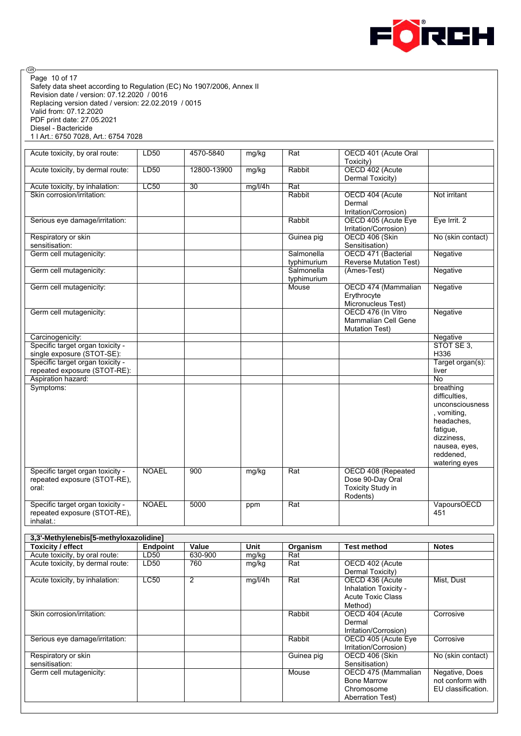

Safety data sheet according to Regulation (EC) No 1907/2006, Annex II Revision date / version: 07.12.2020 / 0016 Replacing version dated / version: 22.02.2019 / 0015 Valid from: 07.12.2020 PDF print date: 27.05.2021 Diesel - Bactericide 1 l Art.: 6750 7028, Art.: 6754 7028 Acute toxicity, by oral route: LD50 4570-5840 mg/kg Rat OECD 401 (Acute Oral Toxicity)<br>OECD 402 (Acute Acute toxicity, by dermal route: LD50 12800-13900 mg/kg Rabbit Dermal Toxicity) Acute toxicity, by inhalation: LC50 30 mg/l/4h Rat Skin corrosion/irritation: Rabbit OECD 404 (Acute Dermal Irritation/Corrosion)<br>OECD 405 (Acute Eye Not irritant Serious eye damage/irritation: Rabbit Rabbit Rabbit Rabbit Rabbit Rabbit Rabbit Rabbit Rabbit Rabbit Irritation/Corrosion) Eye Irrit. 2 Respiratory or skin sensitisation: Guinea pig **OECD** 406 (Skin Sensitisation) No (skin contact) Germ cell mutagenicity: Salmonella typhimurium OECD 471 (Bacterial Reverse Mutation Test) **Negative** Germ cell mutagenicity: Salmonella typhimurium<br>Mouse (Ames-Test) Negative Germ cell mutagenicity: The Contract of the Contract of the Mouse COECD 474 (Mammalian Erythrocyte Micronucleus Test)<br>OECD 476 (In Vitro **Negative** Germ cell mutagenicity: Mammalian Cell Gene Mutation Test) **Negative** Carcinogenicity: Negative Negative Negative Negative Negative Negative Negative Negative Negative Specific target organ toxicity single exposure (STOT-SE): STOT SE 3, H336 Specific target organ toxicity repeated exposure (STOT-RE): Target organ(s): liver Aspiration hazard: No Symptoms: breathing difficulties, unconsciousness , vomiting, headaches, fatigue, dizziness, nausea, eyes, reddened, watering eyes Specific target organ toxicity repeated exposure (STOT-RE), oral: NOAEL 900 mg/kg Rat OECD 408 (Repeated Dose 90-Day Oral Toxicity Study in Rodents) Specific target organ toxicity repeated exposure (STOT-RE), inhalat.: NOAEL 5000 ppm Rat VapoursOECD 451 **3,3'-Methylenebis[5-methyloxazolidine] Toxicity / effect**<br> **Endpoint Value Unit Organism Test method Notes**<br> **Acute toxicity, by oral route:** LD50 630-900 mg/kg Rat Acute toxicity, by oral route: LD50 630-900 mg/kg Acute toxicity, by dermal route: LD50 760 mg/kg Rat OECD 402 (Acute Dermal Toxicity) Acute toxicity, by inhalation: LC50 2 mg/l/4h Rat OECD 436 (Acute Inhalation Toxicity - Acute Toxic Class Method)<br>OECD 404 (Acute Mist, Dust Skin corrosion/irritation: Rabbit Contract Contract Acute Contract Acute Contract Acute Contract Acute Contract Acute Contract Acute Contract Acute Contract Acute Contract Acute Contract Acute Contract Acute Contract Acute Dermal Irritation/Corrosion) **Corrosive** Serious eye damage/irritation: Rabbit OECD 405 (Acute Eye Irritation/Corrosion) **Corrosive** Respiratory or skin sensitisation:<br>Germ cell mutagenicity: Guinea pig **OECD 406 (Skin**) Sensitisation) No (skin contact) Mouse **OECD 475 (Mammalian** Bone Marrow Chromosome Aberration Test) Negative, Does not conform with EU classification. Page 10 of 17

ම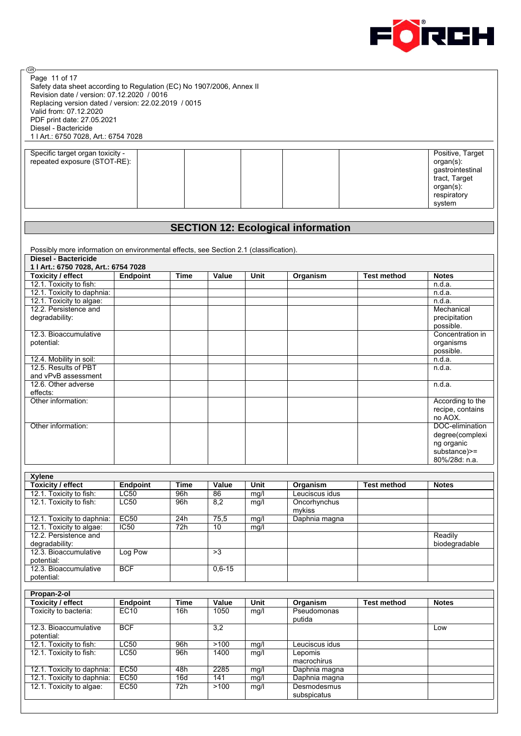

| ®                                                                                                                                                                                                                                                                            |                     |             |           |      |                                           |                    |                                                                                                             |
|------------------------------------------------------------------------------------------------------------------------------------------------------------------------------------------------------------------------------------------------------------------------------|---------------------|-------------|-----------|------|-------------------------------------------|--------------------|-------------------------------------------------------------------------------------------------------------|
| Page 11 of 17<br>Safety data sheet according to Regulation (EC) No 1907/2006, Annex II<br>Revision date / version: 07.12.2020 / 0016<br>Replacing version dated / version: 22.02.2019 / 0015<br>Valid from: 07.12.2020<br>PDF print date: 27.05.2021<br>Diesel - Bactericide |                     |             |           |      |                                           |                    |                                                                                                             |
| 1   Art : 6750 7028, Art .: 6754 7028                                                                                                                                                                                                                                        |                     |             |           |      |                                           |                    |                                                                                                             |
| Specific target organ toxicity -<br>repeated exposure (STOT-RE):                                                                                                                                                                                                             |                     |             |           |      |                                           |                    | Positive, Target<br>$organ(s)$ :<br>gastrointestinal<br>tract, Target<br>organ(s):<br>respiratory<br>system |
|                                                                                                                                                                                                                                                                              |                     |             |           |      |                                           |                    |                                                                                                             |
|                                                                                                                                                                                                                                                                              |                     |             |           |      | <b>SECTION 12: Ecological information</b> |                    |                                                                                                             |
| Possibly more information on environmental effects, see Section 2.1 (classification).<br><b>Diesel - Bactericide</b>                                                                                                                                                         |                     |             |           |      |                                           |                    |                                                                                                             |
| 1   Art.: 6750 7028, Art.: 6754 7028                                                                                                                                                                                                                                         |                     |             |           |      |                                           |                    |                                                                                                             |
| <b>Toxicity / effect</b>                                                                                                                                                                                                                                                     | Endpoint            | <b>Time</b> | Value     | Unit | Organism                                  | <b>Test method</b> | <b>Notes</b>                                                                                                |
| 12.1. Toxicity to fish:                                                                                                                                                                                                                                                      |                     |             |           |      |                                           |                    | n.d.a.                                                                                                      |
| 12.1. Toxicity to daphnia:                                                                                                                                                                                                                                                   |                     |             |           |      |                                           |                    | n.d.a.                                                                                                      |
| 12.1. Toxicity to algae:                                                                                                                                                                                                                                                     |                     |             |           |      |                                           |                    | n.d.a.                                                                                                      |
| 12.2. Persistence and<br>degradability:                                                                                                                                                                                                                                      |                     |             |           |      |                                           |                    | Mechanical<br>precipitation<br>possible.                                                                    |
| 12.3. Bioaccumulative<br>potential:                                                                                                                                                                                                                                          |                     |             |           |      |                                           |                    | Concentration in<br>organisms<br>possible.                                                                  |
| 12.4. Mobility in soil:                                                                                                                                                                                                                                                      |                     |             |           |      |                                           |                    | n.d.a.                                                                                                      |
| 12.5. Results of PBT                                                                                                                                                                                                                                                         |                     |             |           |      |                                           |                    | n.d.a.                                                                                                      |
| and vPvB assessment                                                                                                                                                                                                                                                          |                     |             |           |      |                                           |                    |                                                                                                             |
| 12.6. Other adverse<br>effects:                                                                                                                                                                                                                                              |                     |             |           |      |                                           |                    | n.d.a.                                                                                                      |
| Other information:                                                                                                                                                                                                                                                           |                     |             |           |      |                                           |                    | According to the                                                                                            |
|                                                                                                                                                                                                                                                                              |                     |             |           |      |                                           |                    | recipe, contains<br>no AOX.                                                                                 |
| Other information:                                                                                                                                                                                                                                                           |                     |             |           |      |                                           |                    | DOC-elimination<br>degree(complexi<br>ng organic<br>$substance$ $>=$<br>80%/28d: n.a.                       |
|                                                                                                                                                                                                                                                                              |                     |             |           |      |                                           |                    |                                                                                                             |
| <b>Xylene</b>                                                                                                                                                                                                                                                                |                     |             |           |      |                                           |                    |                                                                                                             |
| <b>Toxicity / effect</b>                                                                                                                                                                                                                                                     | <b>Endpoint</b>     | <b>Time</b> | Value     | Unit | Organism                                  | <b>Test method</b> | <b>Notes</b>                                                                                                |
| 12.1. Toxicity to fish:<br>12.1. Toxicity to fish:                                                                                                                                                                                                                           | <b>LC50</b><br>LC50 | 96h<br>96h  | 86<br>8,2 | mg/l | Leuciscus idus<br>Oncorhynchus            |                    |                                                                                                             |
|                                                                                                                                                                                                                                                                              |                     |             |           | mg/l | mykiss                                    |                    |                                                                                                             |
| 12.1. Toxicity to daphnia:                                                                                                                                                                                                                                                   | EC50                | 24h         | 75,5      | mg/l | Daphnia magna                             |                    |                                                                                                             |
| 12.1. Toxicity to algae:                                                                                                                                                                                                                                                     | $\overline{IC50}$   | 72h         | 10        | mg/l |                                           |                    |                                                                                                             |
| 12.2. Persistence and<br>degradability:                                                                                                                                                                                                                                      |                     |             |           |      |                                           |                    | Readily<br>biodegradable                                                                                    |
| 12.3. Bioaccumulative<br>potential:                                                                                                                                                                                                                                          | Log Pow             |             | >3        |      |                                           |                    |                                                                                                             |
| 12.3. Bioaccumulative<br>potential:                                                                                                                                                                                                                                          | <b>BCF</b>          |             | $0,6-15$  |      |                                           |                    |                                                                                                             |
| Propan-2-ol                                                                                                                                                                                                                                                                  |                     |             |           |      |                                           |                    |                                                                                                             |
| <b>Toxicity / effect</b>                                                                                                                                                                                                                                                     | <b>Endpoint</b>     | <b>Time</b> | Value     | Unit | Organism                                  | <b>Test method</b> | <b>Notes</b>                                                                                                |
| Toxicity to bacteria:                                                                                                                                                                                                                                                        | <b>EC10</b>         | 16h         | 1050      | mg/l | Pseudomonas                               |                    |                                                                                                             |
| 12.3. Bioaccumulative<br>potential:                                                                                                                                                                                                                                          | <b>BCF</b>          |             | 3,2       |      | putida                                    |                    | Low                                                                                                         |
| 12.1. Toxicity to fish:                                                                                                                                                                                                                                                      | LC50                | 96h         | >100      | mg/l | Leuciscus idus                            |                    |                                                                                                             |
| 12.1. Toxicity to fish:                                                                                                                                                                                                                                                      | LC50                | 96h         | 1400      | mg/l | Lepomis<br>macrochirus                    |                    |                                                                                                             |
| 12.1. Toxicity to daphnia:                                                                                                                                                                                                                                                   | <b>EC50</b>         | 48h         | 2285      | mg/l | Daphnia magna                             |                    |                                                                                                             |
| 12.1. Toxicity to daphnia:                                                                                                                                                                                                                                                   | EC50                | 16d         | 141       | mg/l | Daphnia magna                             |                    |                                                                                                             |
| 12.1. Toxicity to algae:                                                                                                                                                                                                                                                     | EC50                | 72h         | $>100$    | mg/l | Desmodesmus                               |                    |                                                                                                             |
|                                                                                                                                                                                                                                                                              |                     |             |           |      | subspicatus                               |                    |                                                                                                             |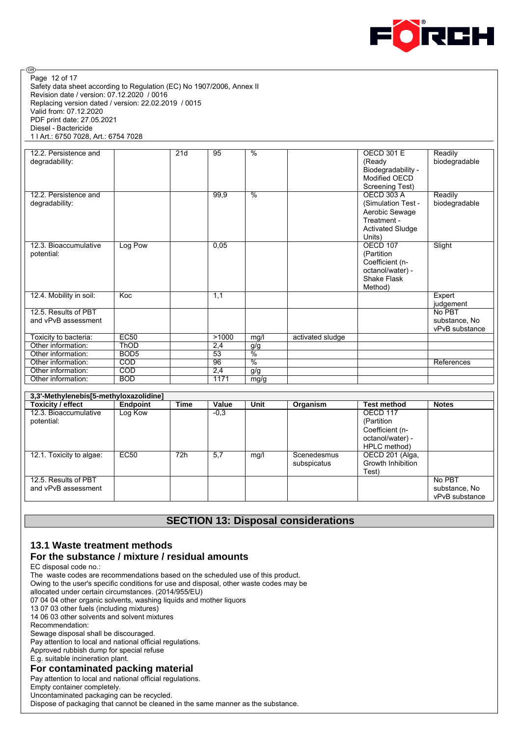

Safety data sheet according to Regulation (EC) No 1907/2006, Annex II Revision date / version: 07.12.2020 / 0016 Replacing version dated / version: 22.02.2019 / 0015 Valid from: 07.12.2020 PDF print date: 27.05.2021 Diesel - Bactericide 1 l Art.: 6750 7028, Art.: 6754 7028 Page 12 of 17

ම

| 12.2. Persistence and<br>degradability:     |                  | 21d | 95              | $\frac{0}{0}$ |                  | <b>OECD 301 E</b><br>(Ready<br>Biodegradability -<br>Modified OECD<br>Screening Test)                         | Readily<br>biodegradable                  |
|---------------------------------------------|------------------|-----|-----------------|---------------|------------------|---------------------------------------------------------------------------------------------------------------|-------------------------------------------|
| 12.2. Persistence and<br>degradability:     |                  |     | 99,9            | $\frac{0}{2}$ |                  | <b>OECD 303 A</b><br>(Simulation Test -<br>Aerobic Sewage<br>Treatment -<br><b>Activated Sludge</b><br>Units) | Readily<br>biodegradable                  |
| 12.3. Bioaccumulative<br>potential:         | Log Pow          |     | 0,05            |               |                  | OECD 107<br>(Partition<br>Coefficient (n-<br>octanol/water) -<br>Shake Flask<br>Method)                       | Slight                                    |
| 12.4. Mobility in soil:                     | Koc              |     | 1,1             |               |                  |                                                                                                               | Expert<br>judgement                       |
| 12.5. Results of PBT<br>and vPvB assessment |                  |     |                 |               |                  |                                                                                                               | No PBT<br>substance, No<br>vPvB substance |
| Toxicity to bacteria:                       | EC50             |     | >1000           | mg/l          | activated sludge |                                                                                                               |                                           |
| Other information:                          | <b>ThOD</b>      |     | 2,4             | g/g           |                  |                                                                                                               |                                           |
| Other information:                          | BOD <sub>5</sub> |     | $\overline{53}$ | $\frac{0}{2}$ |                  |                                                                                                               |                                           |
| Other information:                          | COD              |     | 96              | $\frac{0}{6}$ |                  |                                                                                                               | References                                |
| Other information:                          | COD              |     | 2,4             | g/g           |                  |                                                                                                               |                                           |
| Other information:                          | <b>BOD</b>       |     | 1171            | mg/g          |                  |                                                                                                               |                                           |

| 3,3'-Methylenebis[5-methyloxazolidine] |                 |      |        |      |             |                    |                |  |  |
|----------------------------------------|-----------------|------|--------|------|-------------|--------------------|----------------|--|--|
| Toxicity / effect                      | <b>Endpoint</b> | Time | Value  | Unit | Organism    | <b>Test method</b> | <b>Notes</b>   |  |  |
| 12.3. Bioaccumulative                  | Log Kow         |      | $-0.3$ |      |             | OECD 117           |                |  |  |
| potential:                             |                 |      |        |      |             | (Partition         |                |  |  |
|                                        |                 |      |        |      |             | Coefficient (n-    |                |  |  |
|                                        |                 |      |        |      |             | octanol/water) -   |                |  |  |
|                                        |                 |      |        |      |             | HPLC method)       |                |  |  |
| 12.1. Toxicity to algae:               | EC50            | 72h  | 5.7    | mq/  | Scenedesmus | OECD 201 (Alga,    |                |  |  |
|                                        |                 |      |        |      | subspicatus | Growth Inhibition  |                |  |  |
|                                        |                 |      |        |      |             | Test)              |                |  |  |
| 12.5. Results of PBT                   |                 |      |        |      |             |                    | No PBT         |  |  |
| and vPvB assessment                    |                 |      |        |      |             |                    | substance, No  |  |  |
|                                        |                 |      |        |      |             |                    | vPvB substance |  |  |

## **SECTION 13: Disposal considerations**

#### **13.1 Waste treatment methods For the substance / mixture / residual amounts**

EC disposal code no.:

The waste codes are recommendations based on the scheduled use of this product.

Owing to the user's specific conditions for use and disposal, other waste codes may be

allocated under certain circumstances. (2014/955/EU)

07 04 04 other organic solvents, washing liquids and mother liquors

13 07 03 other fuels (including mixtures)

14 06 03 other solvents and solvent mixtures

Recommendation:

Sewage disposal shall be discouraged.

Pay attention to local and national official regulations.

Approved rubbish dump for special refuse

E.g. suitable incineration plant.

#### **For contaminated packing material**

Pay attention to local and national official regulations.

Empty container completely.

Uncontaminated packaging can be recycled.

Dispose of packaging that cannot be cleaned in the same manner as the substance.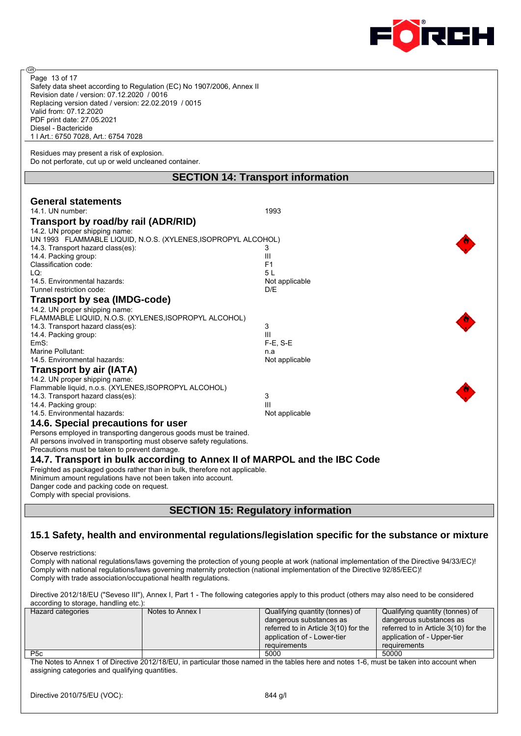

| @ි                                                                                                                                                                                           |                                                                                                     |                                      |                                      |  |
|----------------------------------------------------------------------------------------------------------------------------------------------------------------------------------------------|-----------------------------------------------------------------------------------------------------|--------------------------------------|--------------------------------------|--|
| Page 13 of 17                                                                                                                                                                                |                                                                                                     |                                      |                                      |  |
| Safety data sheet according to Regulation (EC) No 1907/2006, Annex II                                                                                                                        |                                                                                                     |                                      |                                      |  |
| Revision date / version: 07.12.2020 / 0016                                                                                                                                                   |                                                                                                     |                                      |                                      |  |
| Replacing version dated / version: 22.02.2019 / 0015                                                                                                                                         |                                                                                                     |                                      |                                      |  |
| Valid from: 07.12.2020                                                                                                                                                                       |                                                                                                     |                                      |                                      |  |
| PDF print date: 27.05.2021                                                                                                                                                                   |                                                                                                     |                                      |                                      |  |
| Diesel - Bactericide                                                                                                                                                                         |                                                                                                     |                                      |                                      |  |
| 1   Art.: 6750 7028, Art.: 6754 7028                                                                                                                                                         |                                                                                                     |                                      |                                      |  |
|                                                                                                                                                                                              |                                                                                                     |                                      |                                      |  |
| Residues may present a risk of explosion.<br>Do not perforate, cut up or weld uncleaned container.                                                                                           |                                                                                                     |                                      |                                      |  |
|                                                                                                                                                                                              |                                                                                                     |                                      |                                      |  |
| <b>SECTION 14: Transport information</b>                                                                                                                                                     |                                                                                                     |                                      |                                      |  |
|                                                                                                                                                                                              |                                                                                                     |                                      |                                      |  |
| <b>General statements</b>                                                                                                                                                                    |                                                                                                     |                                      |                                      |  |
| 14.1. UN number:                                                                                                                                                                             |                                                                                                     | 1993                                 |                                      |  |
| Transport by road/by rail (ADR/RID)                                                                                                                                                          |                                                                                                     |                                      |                                      |  |
| 14.2. UN proper shipping name:                                                                                                                                                               |                                                                                                     |                                      |                                      |  |
|                                                                                                                                                                                              | UN 1993 FLAMMABLE LIQUID, N.O.S. (XYLENES, ISOPROPYL ALCOHOL)                                       |                                      |                                      |  |
| 14.3. Transport hazard class(es):                                                                                                                                                            |                                                                                                     | 3                                    |                                      |  |
| 14.4. Packing group:                                                                                                                                                                         |                                                                                                     | Ш                                    |                                      |  |
| Classification code:                                                                                                                                                                         |                                                                                                     | F <sub>1</sub>                       |                                      |  |
| LQ.                                                                                                                                                                                          |                                                                                                     | 5 L                                  |                                      |  |
| 14.5. Environmental hazards:                                                                                                                                                                 |                                                                                                     | Not applicable                       |                                      |  |
| Tunnel restriction code:                                                                                                                                                                     |                                                                                                     | D/E                                  |                                      |  |
| Transport by sea (IMDG-code)                                                                                                                                                                 |                                                                                                     |                                      |                                      |  |
| 14.2. UN proper shipping name:                                                                                                                                                               |                                                                                                     |                                      |                                      |  |
| FLAMMABLE LIQUID, N.O.S. (XYLENES, ISOPROPYL ALCOHOL)                                                                                                                                        |                                                                                                     |                                      |                                      |  |
| 14.3. Transport hazard class(es):                                                                                                                                                            |                                                                                                     | 3                                    |                                      |  |
| 14.4. Packing group:                                                                                                                                                                         |                                                                                                     | Ш                                    |                                      |  |
| EmS:                                                                                                                                                                                         |                                                                                                     | $F-E$ , S-E                          |                                      |  |
| Marine Pollutant:                                                                                                                                                                            |                                                                                                     | n.a                                  |                                      |  |
| 14.5. Environmental hazards:                                                                                                                                                                 |                                                                                                     | Not applicable                       |                                      |  |
| Transport by air (IATA)                                                                                                                                                                      |                                                                                                     |                                      |                                      |  |
| 14.2. UN proper shipping name:                                                                                                                                                               |                                                                                                     |                                      |                                      |  |
| Flammable liquid, n.o.s. (XYLENES, ISOPROPYL ALCOHOL)                                                                                                                                        |                                                                                                     |                                      |                                      |  |
| 14.3. Transport hazard class(es):                                                                                                                                                            |                                                                                                     | 3                                    |                                      |  |
| 14.4. Packing group:                                                                                                                                                                         |                                                                                                     | Ш                                    |                                      |  |
| 14.5. Environmental hazards:                                                                                                                                                                 |                                                                                                     | Not applicable                       |                                      |  |
| 14.6. Special precautions for user                                                                                                                                                           |                                                                                                     |                                      |                                      |  |
| Persons employed in transporting dangerous goods must be trained.                                                                                                                            |                                                                                                     |                                      |                                      |  |
| All persons involved in transporting must observe safety regulations.                                                                                                                        |                                                                                                     |                                      |                                      |  |
| Precautions must be taken to prevent damage.                                                                                                                                                 |                                                                                                     |                                      |                                      |  |
| 14.7. Transport in bulk according to Annex II of MARPOL and the IBC Code                                                                                                                     |                                                                                                     |                                      |                                      |  |
| Freighted as packaged goods rather than in bulk, therefore not applicable.                                                                                                                   |                                                                                                     |                                      |                                      |  |
| Minimum amount regulations have not been taken into account.                                                                                                                                 |                                                                                                     |                                      |                                      |  |
| Danger code and packing code on request.                                                                                                                                                     |                                                                                                     |                                      |                                      |  |
| Comply with special provisions.                                                                                                                                                              |                                                                                                     |                                      |                                      |  |
|                                                                                                                                                                                              |                                                                                                     |                                      |                                      |  |
| <b>SECTION 15: Regulatory information</b>                                                                                                                                                    |                                                                                                     |                                      |                                      |  |
|                                                                                                                                                                                              |                                                                                                     |                                      |                                      |  |
|                                                                                                                                                                                              | 15.1 Safety, health and environmental regulations/legislation specific for the substance or mixture |                                      |                                      |  |
| Observe restrictions:                                                                                                                                                                        |                                                                                                     |                                      |                                      |  |
| Comply with national regulations/laws governing the protection of young people at work (national implementation of the Directive 94/33/EC)!                                                  |                                                                                                     |                                      |                                      |  |
|                                                                                                                                                                                              |                                                                                                     |                                      |                                      |  |
| Comply with national regulations/laws governing maternity protection (national implementation of the Directive 92/85/EEC)!<br>Comply with trade association/occupational health regulations. |                                                                                                     |                                      |                                      |  |
|                                                                                                                                                                                              |                                                                                                     |                                      |                                      |  |
| Directive 2012/18/EU ("Seveso III"), Annex I, Part 1 - The following categories apply to this product (others may also need to be considered                                                 |                                                                                                     |                                      |                                      |  |
| according to storage, handling etc.):                                                                                                                                                        |                                                                                                     |                                      |                                      |  |
| Hazard categories                                                                                                                                                                            | Notes to Annex I                                                                                    | Qualifying quantity (tonnes) of      | Qualifying quantity (tonnes) of      |  |
|                                                                                                                                                                                              |                                                                                                     | dangerous substances as              | dangerous substances as              |  |
|                                                                                                                                                                                              |                                                                                                     | referred to in Article 3(10) for the | referred to in Article 3(10) for the |  |

P5c 50000 50000 50000 50000 50000 50000 50000 50000 50000 50000 50000 50000 50000 50000 50000 50000 50000 5000 The Notes to Annex 1 of Directive 2012/18/EU, in particular those named in the tables here and notes 1-6, must be taken into account when assigning categories and qualifying quantities.

requirements

application of - Lower-tier

application of - Upper-tier

requirements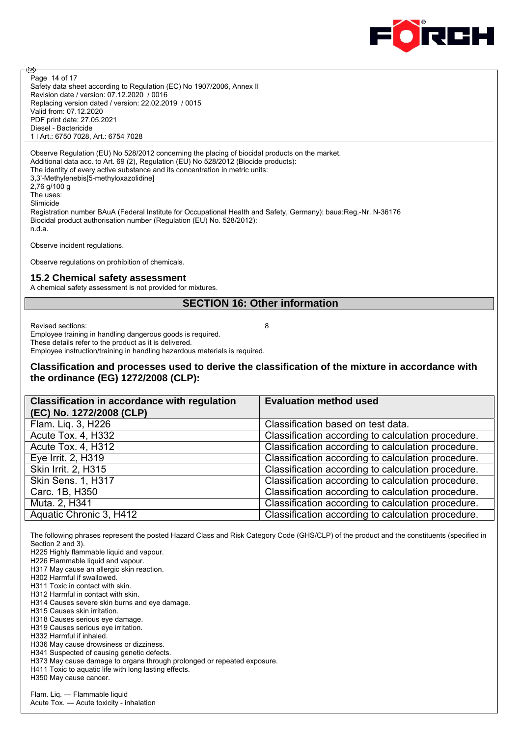

Safety data sheet according to Regulation (EC) No 1907/2006, Annex II Revision date / version: 07.12.2020 / 0016 Replacing version dated / version: 22.02.2019 / 0015 Valid from: 07.12.2020 PDF print date: 27.05.2021 Diesel - Bactericide 1 l Art.: 6750 7028, Art.: 6754 7028 Page 14 of 17

Observe Regulation (EU) No 528/2012 concerning the placing of biocidal products on the market. Additional data acc. to Art. 69 (2), Regulation (EU) No 528/2012 (Biocide products): The identity of every active substance and its concentration in metric units: 3,3'-Methylenebis[5-methyloxazolidine] 2,76 g/100 g The uses: Slimicide Registration number BAuA (Federal Institute for Occupational Health and Safety, Germany): baua:Reg.-Nr. N-36176 Biocidal product authorisation number (Regulation (EU) No. 528/2012): n.d.a.

Observe incident regulations.

Observe regulations on prohibition of chemicals.

#### **15.2 Chemical safety assessment**

A chemical safety assessment is not provided for mixtures.

#### **SECTION 16: Other information**

Revised sections: 8

ම

Employee training in handling dangerous goods is required. These details refer to the product as it is delivered. Employee instruction/training in handling hazardous materials is required.

#### **Classification and processes used to derive the classification of the mixture in accordance with the ordinance (EG) 1272/2008 (CLP):**

| <b>Classification in accordance with regulation</b><br>(EC) No. 1272/2008 (CLP) | <b>Evaluation method used</b>                      |
|---------------------------------------------------------------------------------|----------------------------------------------------|
| Flam. Liq. 3, H226                                                              | Classification based on test data.                 |
| Acute Tox. 4, H332                                                              | Classification according to calculation procedure. |
| Acute Tox. 4, H312                                                              | Classification according to calculation procedure. |
| Eye Irrit. 2, H319                                                              | Classification according to calculation procedure. |
| Skin Irrit. 2, H315                                                             | Classification according to calculation procedure. |
| <b>Skin Sens. 1, H317</b>                                                       | Classification according to calculation procedure. |
| Carc. 1B, H350                                                                  | Classification according to calculation procedure. |
| Muta. 2, H341                                                                   | Classification according to calculation procedure. |
| Aquatic Chronic 3, H412                                                         | Classification according to calculation procedure. |

The following phrases represent the posted Hazard Class and Risk Category Code (GHS/CLP) of the product and the constituents (specified in Section 2 and 3).

H225 Highly flammable liquid and vapour.

H226 Flammable liquid and vapour.

H317 May cause an allergic skin reaction.

H302 Harmful if swallowed.

H311 Toxic in contact with skin.

H312 Harmful in contact with skin.

H314 Causes severe skin burns and eye damage.

H315 Causes skin irritation.

H318 Causes serious eye damage. H319 Causes serious eye irritation.

H332 Harmful if inhaled.

H336 May cause drowsiness or dizziness. H341 Suspected of causing genetic defects.

H373 May cause damage to organs through prolonged or repeated exposure.

H411 Toxic to aquatic life with long lasting effects.

H350 May cause cancer.

Flam. Liq. — Flammable liquid Acute Tox. — Acute toxicity - inhalation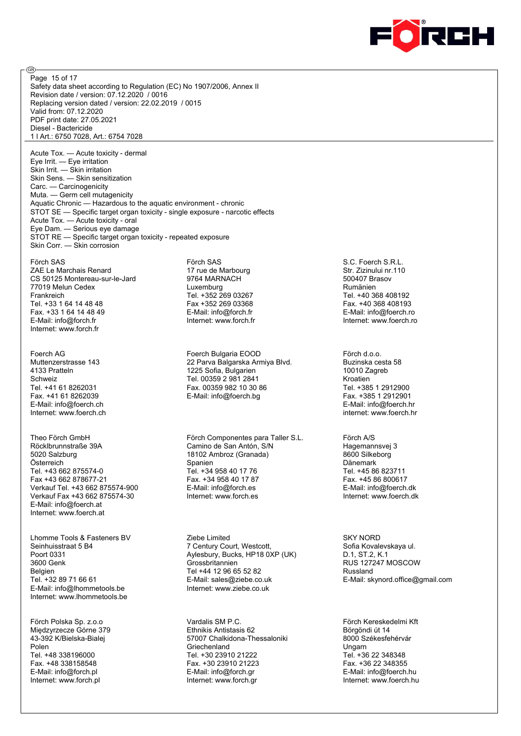

Safety data sheet according to Regulation (EC) No 1907/2006, Annex II Revision date / version: 07.12.2020 / 0016 Replacing version dated / version: 22.02.2019 / 0015 Valid from: 07.12.2020 PDF print date: 27.05.2021 Diesel - Bactericide 1 l Art.: 6750 7028, Art.: 6754 7028 Page 15 of 17

Acute Tox. — Acute toxicity - dermal Eye Irrit. — Eye irritation Skin Irrit. — Skin irritation Skin Sens. — Skin sensitization Carc. — Carcinogenicity Muta. — Germ cell mutagenicity Aquatic Chronic — Hazardous to the aquatic environment - chronic STOT SE — Specific target organ toxicity - single exposure - narcotic effects Acute Tox. — Acute toxicity - oral Eye Dam. — Serious eye damage STOT RE — Specific target organ toxicity - repeated exposure Skin Corr. — Skin corrosion

Förch SAS ZAE Le Marchais Renard CS 50125 Montereau-sur-le-Jard 77019 Melun Cedex Frankreich Tel. +33 1 64 14 48 48 Fax. +33 1 64 14 48 49 E-Mail: info@forch.fr Internet: www.forch.fr

അ

Foerch AG Muttenzerstrasse 143 4133 Pratteln Schweiz Tel. +41 61 8262031 Fax. +41 61 8262039 E-Mail: info@foerch.ch Internet: www.foerch.ch

Theo Förch GmbH Röcklbrunnstraße 39A 5020 Salzburg Österreich Tel. +43 662 875574-0 Fax +43 662 878677-21 Verkauf Tel. +43 662 875574-900 Verkauf Fax +43 662 875574-30 E-Mail: info@foerch.at Internet: www.foerch.at

Lhomme Tools & Fasteners BV Seinhuisstraat 5 B4 Poort 0331 3600 Genk Belgien Tel. +32 89 71 66 61 E-Mail: info@lhommetools.be Internet: www.lhommetools.be

Förch Polska Sp. z.o.o Międzyrzecze Górne 379 43-392 K/Bielska-Bialej Polen Tel. +48 338196000 Fax. +48 338158548 E-Mail: info@forch.pl Internet: www.forch.pl

Förch SAS 17 rue de Marbourg 9764 MARNACH Luxemburg Tel. +352 269 03267 Fax +352 269 03368 E-Mail: info@forch.fr Internet: www.forch.fr

Foerch Bulgaria EOOD 22 Parva Balgarska Armiya Blvd. 1225 Sofia, Bulgarien Tel. 00359 2 981 2841 Fax. 00359 982 10 30 86 E-Mail: info@foerch.bg

Förch Componentes para Taller S.L. Camino de San Antón, S/N 18102 Ambroz (Granada) Spanien Tel. +34 958 40 17 76 Fax. +34 958 40 17 87 E-Mail: info@forch.es Internet: www.forch.es

Ziebe Limited 7 Century Court, Westcott, Aylesbury, Bucks, HP18 0XP (UK) Grossbritannien Tel +44 12 96 65 52 82 E-Mail: sales@ziebe.co.uk Internet: www.ziebe.co.uk

Vardalis SM P.C. Ethnikis Antistasis 62 57007 Chalkidona-Thessaloniki Griechenland Tel. +30 23910 21222 Fax. +30 23910 21223 E-Mail: info@forch.gr Internet: www.forch.gr

S.C. Foerch S.R.L. Str. Zizinului nr.110 500407 Brasov Rumänien Tel. +40 368 408192 Fax. +40 368 408193 E-Mail: info@foerch.ro Internet: www.foerch.ro

Förch d.o.o. Buzinska cesta 58 10010 Zagreb Kroatien Tel. +385 1 2912900 Fax. +385 1 2912901 E-Mail: info@foerch.hr internet: www.foerch.hr

Förch A/S Hagemannsvej 3 8600 Silkeborg Dänemark Tel. +45 86 823711 Fax. +45 86 800617 E-Mail: info@foerch.dk Internet: www.foerch.dk

SKY NORD Sofia Kovalevskaya ul. D.1, ST.2, K.1 RUS 127247 MOSCOW Russland E-Mail: skynord.office@gmail.com

Förch Kereskedelmi Kft Börgöndi út 14 8000 Székesfehérvár Ungarn Tel. +36 22 348348 Fax. +36 22 348355 E-Mail: info@foerch.hu Internet: www.foerch.hu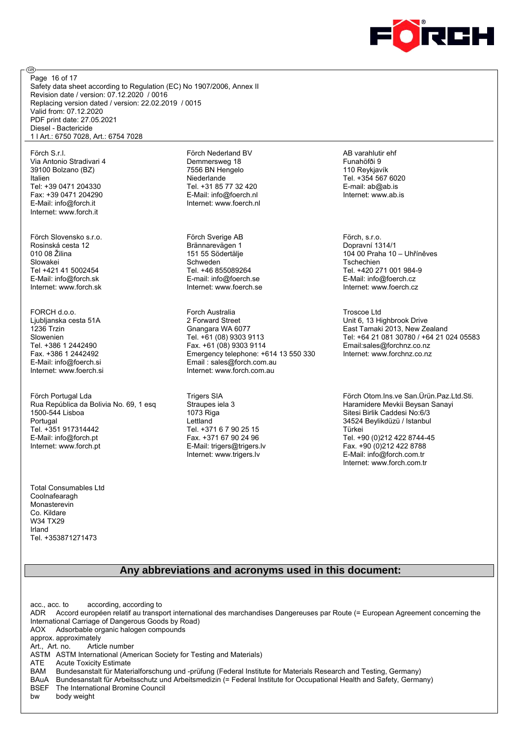

Safety data sheet according to Regulation (EC) No 1907/2006, Annex II Revision date / version: 07.12.2020 / 0016 Replacing version dated / version: 22.02.2019 / 0015 Valid from: 07.12.2020 PDF print date: 27.05.2021 Diesel - Bactericide 1 l Art.: 6750 7028, Art.: 6754 7028 Page 16 of 17

Förch S.r.l. Via Antonio Stradivari 4 39100 Bolzano (BZ) Italien Tel: +39 0471 204330 Fax: +39 0471 204290 E-Mail: info@forch.it Internet: www.forch.it

അ

Förch Slovensko s.r.o. Rosinská cesta 12 010 08 Žilina Slowakei Tel +421 41 5002454 E-Mail: info@forch.sk Internet: www.forch.sk

FORCH d.o.o. Ljubljanska cesta 51A 1236 Trzin Slowenien Tel. +386 1 2442490 Fax. +386 1 2442492 E-Mail: info@foerch.si Internet: www.foerch.si

Förch Portugal Lda Rua República da Bolivia No. 69, 1 esq 1500-544 Lisboa Portugal Tel. +351 917314442 E-Mail: info@forch.pt Internet: www.forch.pt

Total Consumables Ltd **Coolnafearagh** Monasterevin Co. Kildare W34 TX29 Irland Tel. +353871271473

Förch Nederland BV Demmersweg 18 7556 BN Hengelo Niederlande Tel. +31 85 77 32 420 E-Mail: info@foerch.nl Internet: www.foerch.nl

Förch Sverige AB Brännarevägen 1 151 55 Södertälje Schweden Tel. +46 855089264 E-mail: info@foerch.se Internet: www.foerch.se

Forch Australia 2 Forward Street Gnangara WA 6077 Tel. +61 (08) 9303 9113 Fax. +61 (08) 9303 9114 Emergency telephone: +614 13 550 330 Email : sales@forch.com.au Internet: www.forch.com.au

Trigers SIA Straupes iela 3 1073 Riga Lettland Tel. +371 6 7 90 25 15 Fax. +371 67 90 24 96 E-Mail: trigers@trigers.lv Internet: www.trigers.lv

AB varahlutir ehf Funahöfði 9 110 Reykjavík Tel. +354 567 6020 E-mail: ab@ab.is Internet: www.ab.is

Förch, s.r.o. Dopravní 1314/1 104 00 Praha 10 – Uhříněves Tschechien Tel. +420 271 001 984-9 E-Mail: info@foerch.cz Internet: www.foerch.cz

Troscoe Ltd Unit 6, 13 Highbrook Drive East Tamaki 2013, New Zealand Tel: +64 21 081 30780 / +64 21 024 05583 Email:sales@forchnz.co.nz Internet: www.forchnz.co.nz

Förch Otom.Ins.ve San.Ürün.Paz.Ltd.Sti. Haramidere Mevkii Beysan Sanayi Sitesi Birlik Caddesi No:6/3 34524 Beylikdüzü / Istanbul Türkei Tel. +90 (0)212 422 8744-45 Fax. +90 (0)212 422 8788 E-Mail: info@forch.com.tr Internet: www.forch.com.tr

#### **Any abbreviations and acronyms used in this document:**

acc., acc. to according, according to ADR Accord européen relatif au transport international des marchandises Dangereuses par Route (= European Agreement concerning the International Carriage of Dangerous Goods by Road) AOX Adsorbable organic halogen compounds approx. approximately<br>Art Art no Article number Art., Art. no. ASTM ASTM International (American Society for Testing and Materials) ATE Acute Toxicity Estimate BAM Bundesanstalt für Materialforschung und -prüfung (Federal Institute for Materials Research and Testing, Germany) BAuA Bundesanstalt für Arbeitsschutz und Arbeitsmedizin (= Federal Institute for Occupational Health and Safety, Germany) BSEF The International Bromine Council bw body weight